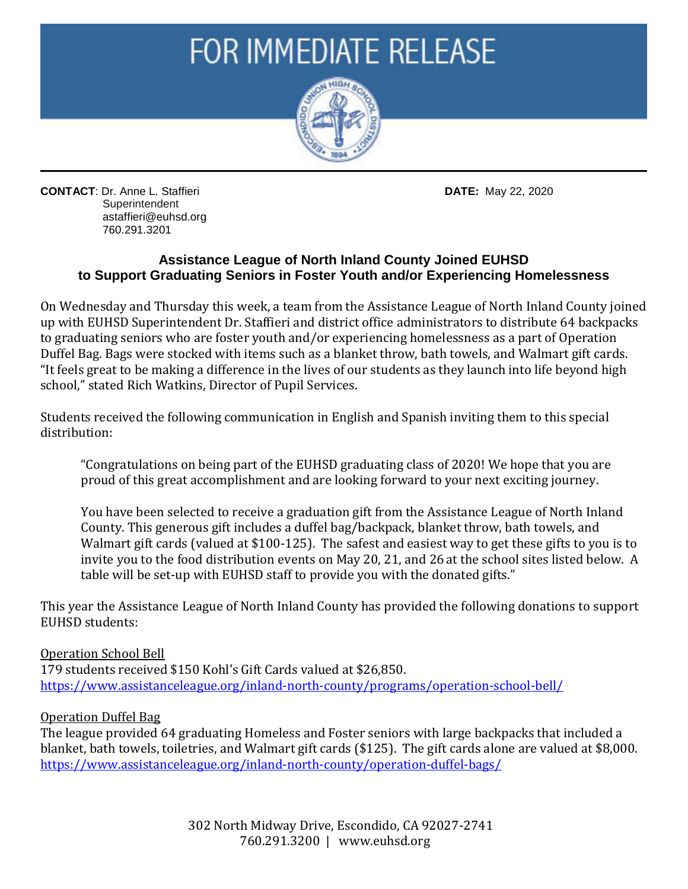# **FOR IMMEDIATE RELEASE**



**CONTACT**: Dr. Anne L. Staffieri **DATE:** May 22, 2020 **Superintendent**  astaffieri@euhsd.org 760.291.3201

## **Assistance League of North Inland County Joined EUHSD to Support Graduating Seniors in Foster Youth and/or Experiencing Homelessness**

On Wednesday and Thursday this week, a team from the Assistance League of North Inland County joined up with EUHSD Superintendent Dr. Staffieri and district office administrators to distribute 64 backpacks to graduating seniors who are foster youth and/or experiencing homelessness as a part of Operation Duffel Bag. Bags were stocked with items such as a blanket throw, bath towels, and Walmart gift cards. "It feels great to be making a difference in the lives of our students as they launch into life beyond high school," stated Rich Watkins, Director of Pupil Services.

Students received the following communication in English and Spanish inviting them to this special distribution:

"Congratulations on being part of the EUHSD graduating class of 2020! We hope that you are proud of this great accomplishment and are looking forward to your next exciting journey.

You have been selected to receive a graduation gift from the Assistance League of North Inland County. This generous gift includes a duffel bag/backpack, blanket throw, bath towels, and Walmart gift cards (valued at \$100-125). The safest and easiest way to get these gifts to you is to invite you to the food distribution events on May 20, 21, and 26 at the school sites listed below. A table will be set-up with EUHSD staff to provide you with the donated gifts."

This year the Assistance League of North Inland County has provided the following donations to support EUHSD students:

### Operation School Bell

179 students received \$150 Kohl's Gift Cards valued at \$26,850. <https://www.assistanceleague.org/inland-north-county/programs/operation-school-bell/>

### Operation Duffel Bag

The league provided 64 graduating Homeless and Foster seniors with large backpacks that included a blanket, bath towels, toiletries, and Walmart gift cards (\$125). The gift cards alone are valued at \$8,000. <https://www.assistanceleague.org/inland-north-county/operation-duffel-bags/>